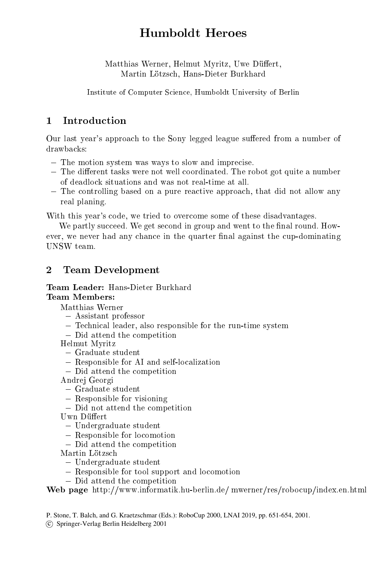# Humboldt Heroes

Matthias Werner, Helmut Myritz, Uwe Düffert, Matthias Werner, Helmut Myritz, Uwe Duert, Martin Lötzsch. Hans-Dieter Burkhard Martin Lotzsch, Hans-Dieter Burkhard

Institute of Computer Science, Humboldt University of Berlin Institute of  $\Gamma$  Computer Science, Human Science, Human Science, Human Science, Human Science, Human Science, Human Science, Human Science, Human Science, Human Science, Human Science, Human Science, Human Science, Human

## **Introduction**  $\mathbf{1}$

Our last year's approach to the Sony legged league suffered from a number of drawbacks:

- ${\rm -}$  The motion system was ways to slow and imprecise.
- $-$  The different tasks were not well coordinated. The robot got quite a number of deadlock situations and was not real-time at all.
- ${\bf T}$  the controlling based on a pure reaction approach, that did not allow any allow any allow any allow any allow any allow any allow any allow any allow any allow any allow any allow any allow any allow any allow any real planing.

With this year's code, we tried to overcome some of these disadvantages.

We partly succeed. We get second in group and went to the final round. However, we never had any chance in the quarter in the cup-dominating  $\mathcal{M}$ UNSW team.

## $\overline{2}$ Team Development

Team Leader: Hans-Dieter Burkhard **Team Members:** 

Matthias Werner

- { Assistant professor
- Technical leader, also responsible for the run-time system
- Did attend the competition

Helmut Myritz Helmut Myritz

- $-$  Graduate student
- Responsible for AI and self-localization
- Did attend the competition

Andrej Georgi

- { Graduate student
- { Responsible for visioning
- Did not attend the competition
- Uwn Düffert
	- { Undergraduate student
	- { Responsible for locomotion
	- Did attend the competition
- Martin Lötzsch
	- { Undergraduate student
	- Responsible for tool support and locomotion
	- Did attend the competition

Web page http://www.informatik.hu-berlin.de/ mwerner/res/robocup/index.en.html

P. Stone, T. Balch, and G. Kraetzschmar (Eds.): RoboCup 2000, LNAI 2019, pp. 651-654, 2001.

c Springer-Verlag Berlin Heidelberg 2001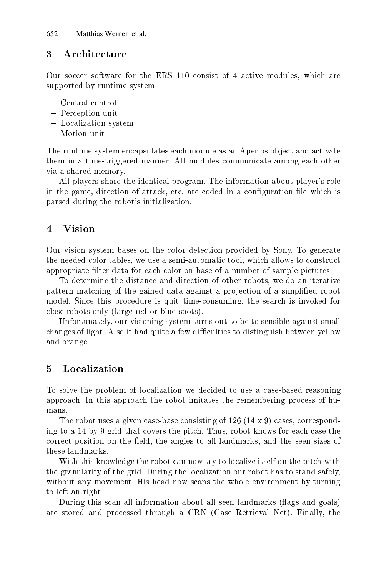#### 3 Architecture

Our soccer software for the ERS 110 consist of 4 active modules, which are supported by runtime system:

- { Central control
- { Perception unit
- { Localization system
- Motion unit

The runtime system encapsulates each module as an Aperios ob ject and activate them in a time-triggered manner. All modules communicate among each other via a shared memory.

All players share the identical program. The information about player's role in the game, direction of attack, etc. are coded in a configuration file which is parsed during the robot's initialization.

#### $\overline{4}$ **Vision**

Our vision system bases on the color detection provided by Sony. To generate the needed color tables, we use a semi-automatic tool, which allows to construct appropriate lter data for each color on base of a number of sample pictures.

To determine the distance and direction of other robots, we do an iterative pattern matching of the gained data against a projection of a simplified robot model. Since this procedure is quit time-consuming, the search is invoked for close robots only (large red or blue spots).

Unfortunately, our visioning system turns out to be to sensible against small changes of light. Also it had quite a few difficulties to distinguish between yellow and orange.

#### Localization 5

To solve the problem of localization we decided to use a case-based reasoning approach. In this approach the robot imitates the remembering process of humans.

The robot uses a given case-base consisting of  $126$  ( $14 \times 9$ ) cases, corresponding to a 14 by 9 grid that covers the pitch. Thus, robot knows for each case the correct position on the field, the angles to all landmarks, and the seen sizes of these landmarks.

With this knowledge the robot can now try to localize itself on the pitch with the granularity of the grid. During the localization our robot has to stand safely, without any movement. His head now scans the whole environment by turning to left an right.

During this scan all information about all seen landmarks (flags and goals) are stored and processed through a CRN (Case Retrieval Net). Finally, the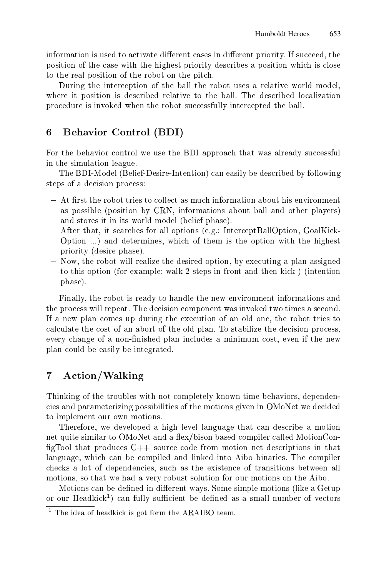information is used to activate different cases in different priority. If succeed, the information is used to activate dierent cases in dierent priority. If succeed, the position of the case with the highest priority describes a position which is close to the real position of the robot on the pitch.

During the interception of the ball the robot uses a relative world model, where it position is described relative to the ball. The described localization procedure is invoked when the robot successfully intercepted the ball.

# 6 6 Behavior Control (BDI)

For the behavior control we use the BDI approach that was already successful in the simulation league.

The BDI-Model (Belief-Desire-Intention) can easily be described by following steps of a decision process:

- $-$  At first the robot tries to collect as much information about his environment as possible (position by CRN, informations about ball and other players) and stores it in its world model (belief phase).
- ${\bf -}$  After that, it searches for all options (e.g.: InterceptBallOption, GoalKick-Option ...) and determines, which of them is the option with the highest priority (desire phase).
- ${\sim}$  Now, the robot will realize the desired option, by executing a plan assigned to this option (for example: walk 2 steps in front and then kick ) (intention phase).

Finally, the robot is ready to handle the new environment informations and the process will repeat. The decision component was invoked two times a second. If a new plan comes up during the execution of an old one, the robot tries to calculate the cost of an abort of the old plan. To stabilize the decision process, every change of a non-finished plan includes a minimum cost, even if the new plan could be easily be integrated.

# $\overline{7}$ Action/Walking

Thinking of the troubles with not completely known time behaviors, dependencies and parameterizing possibilities of the motions given in OMoNet we decided to implement our own motions.

Therefore, we developed a high level language that can describe a motion net quite similar to OMoNet and a flex/bison based compiler called MotionConfigTool that produces  $C_{++}$  source code from motion net descriptions in that language, which can be compiled and linked into Aibo binaries. The compiler checks a lot of dependencies, such as the existence of transitions between all motions, so that we had a very robust solution for our motions on the Aibo.

Motions can be defined in different ways. Some simple motions (like a Getup or our **Headkick**) can fully sufficient be defined as a small number of vectors

<sup>1</sup> The idea of headkick is got form the ARAIBO team.